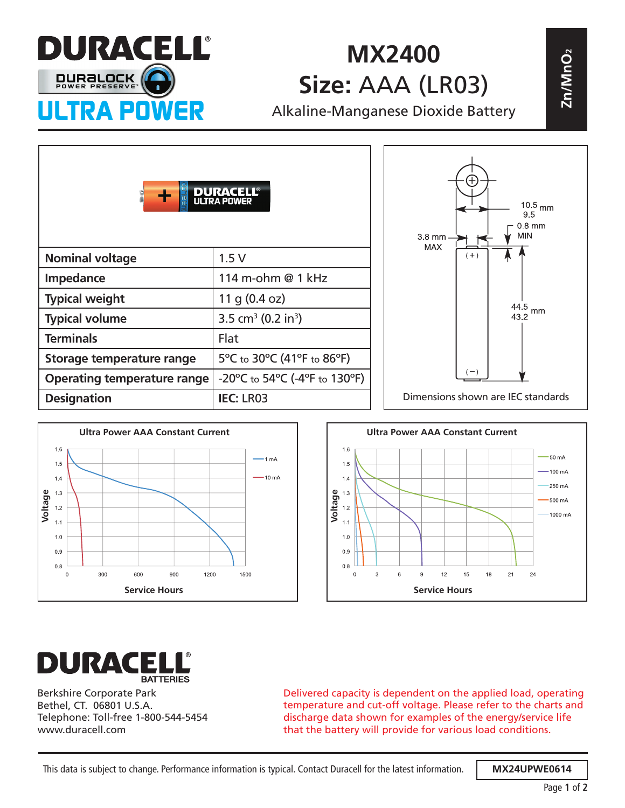

## **MX2400 Size:** AAA (LR03)

| UINANTEIH<br><b>MX2400</b>         |                                                                          |  |                                                                               |  |
|------------------------------------|--------------------------------------------------------------------------|--|-------------------------------------------------------------------------------|--|
| <b>DURBLOCK</b>                    | Size: AAA (LR03)                                                         |  | Zn/MnO2                                                                       |  |
| <b>ULTRA POWER</b>                 |                                                                          |  | Alkaline-Manganese Dioxide Battery                                            |  |
|                                    | <b>DURACELL<sup>®</sup></b><br>ULTRA POWER                               |  | $10.5$ <sub>mm</sub><br>9.5<br>$0.8$ mm<br><b>MIN</b><br>3.8 mm<br><b>MAX</b> |  |
| <b>Nominal voltage</b>             | 1.5V                                                                     |  | $(+)$                                                                         |  |
| Impedance                          | 114 m-ohm @ 1 kHz                                                        |  |                                                                               |  |
| <b>Typical weight</b>              | 11 g $(0.4 oz)$                                                          |  | 44.5                                                                          |  |
| <b>Typical volume</b>              | 3.5 cm <sup>3</sup> (0.2 in <sup>3</sup> )                               |  | mm<br>43.2                                                                    |  |
| <b>Terminals</b>                   | Flat                                                                     |  |                                                                               |  |
| Storage temperature range          | 5°C to 30°C (41°F to 86°F)                                               |  |                                                                               |  |
| <b>Operating temperature range</b> | $-20^{\circ}$ C to 54 $^{\circ}$ C (-4 $^{\circ}$ F to 130 $^{\circ}$ F) |  | $(-)$                                                                         |  |
| <b>Designation</b>                 | <b>IEC: LR03</b>                                                         |  | Dimensions shown are IEC standards                                            |  |







Berkshire Corporate Park Bethel, CT. 06801 U.S.A. Telephone: Toll-free 1-800-544-5454 www.duracell.com

Delivered capacity is dependent on the applied load, operating temperature and cut-off voltage. Please refer to the charts and discharge data shown for examples of the energy/service life that the battery will provide for various load conditions.